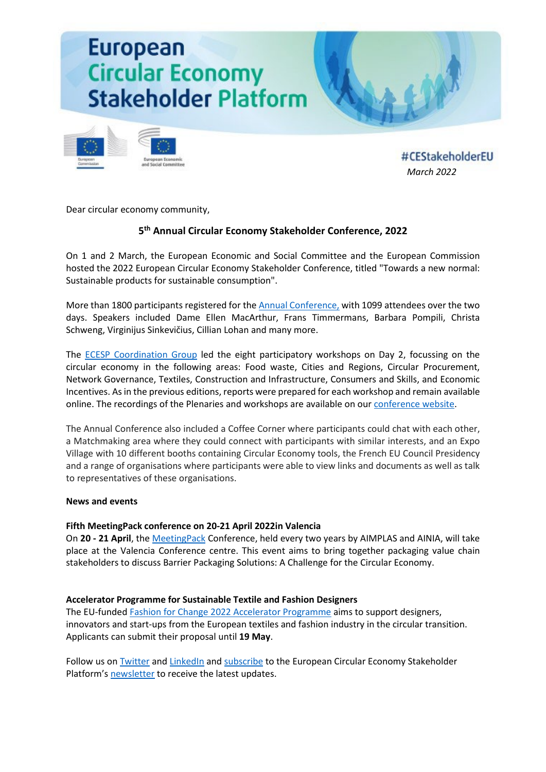# **European Circular Economy Stakeholder Platform**



#CEStakeholderEU *[March](https://circulareconomy.europa.eu/platform/en/about-platform) 2022*

Dear circular economy community,

# **5th Annual Circular Economy Stakeholder Conference, 2022**

On 1 and 2 March, the European Economic and Social Committee and the European Commission hosted the 2022 European Circular Economy Stakeholder Conference, titled "Towards a new normal: Sustainable products for sustainable consumption".

More than 1800 participants registered for the [Annual Conference,](https://circulareconomy.europa.eu/platform/en/towards-new-normal-sustainable-products-sustainable-consumption) with 1099 attendees over the two days. Speakers included Dame Ellen MacArthur, Frans Timmermans, Barbara Pompili, Christa Schweng, Virginijus Sinkevičius, Cillian Lohan and many more.

The [ECESP Coordination Group](https://circulareconomy.europa.eu/platform/en/coordination-group) led the eight participatory workshops on Day 2, focussing on the circular economy in the following areas: Food waste, Cities and Regions, Circular Procurement, Network Governance, Textiles, Construction and Infrastructure, Consumers and Skills, and Economic Incentives. As in the previous editions, reports were prepared for each workshop and remain available online. The recordings of the Plenaries and workshops are available on our [conference website.](https://circulareconomy.europa.eu/platform/en/towards-new-normal-sustainable-products-sustainable-consumption)

The Annual Conference also included a Coffee Corner where participants could chat with each other, a Matchmaking area where they could connect with participants with similar interests, and an Expo Village with 10 different booths containing Circular Economy tools, the French EU Council Presidency and a range of organisations where participants were able to view links and documents as well as talk to representatives of these organisations.

# **News and events**

# **Fifth MeetingPack conference on 20-21 April 2022in Valencia**

On **20 - 21 April**, the [MeetingPack](https://circulareconomy.europa.eu/platform/en/news-and-events/all-events/fifth-meetingpack-conference-valencia-20-21-april-2022) Conference, held every two years by AIMPLAS and AINIA, will take place at the Valencia Conference centre. This event aims to bring together packaging value chain stakeholders to discuss Barrier Packaging Solutions: A Challenge for the Circular Economy.

# **Accelerator Programme for Sustainable Textile and Fashion Designers**

The EU-funded [Fashion for Change 2022 Accelerator Programme](https://circulareconomy.europa.eu/platform/en/news-and-events/all-news/accelerator-programme-sustainable-textile-and-fashion-designers-applications-open-until-19-may) aims to support designers, innovators and start-ups from the European textiles and fashion industry in the circular transition. Applicants can submit their proposal until **19 May**.

Follow us o[n Twitter](https://twitter.com/CEStakeholderEU) and [LinkedI](https://www.linkedin.com/company/ecesp/)n an[d subscribe](http://cdweb.eesc.europa.eu/eesceuropaeu-ae77k/pages/piih728reeibewbqvqbd6g.html) to the European Circular Economy Stakeholder Platform'[s newsletter](https://circulareconomy.europa.eu/platform/en/ecesp-newsletter) to receive the latest updates.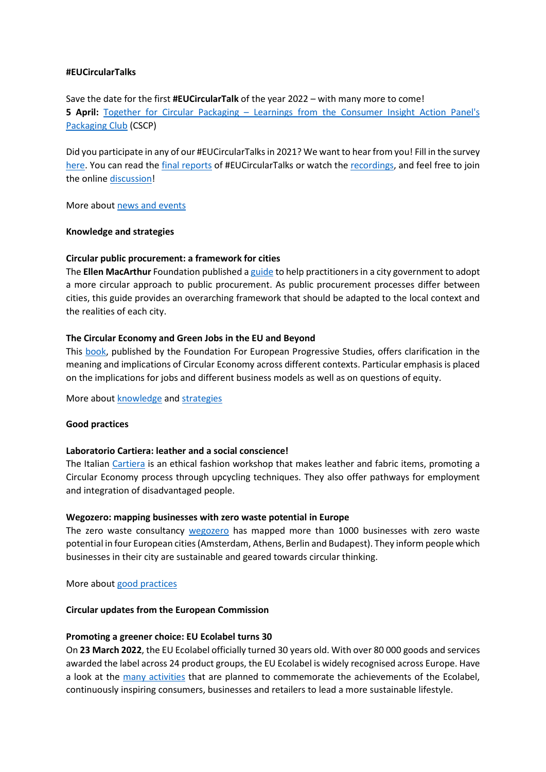#### **#EUCircularTalks**

Save the date for the first **#EUCircularTalk** of the year 2022 – with many more to come! **5 April:** Together for Circular Packaging – [Learnings from the Consumer Insight Action Panel's](https://circulareconomy.europa.eu/platform/en/eu-circular-talks)  [Packaging Club](https://circulareconomy.europa.eu/platform/en/eu-circular-talks) (CSCP)

Did you participate in any of our #EUCircularTalksin 2021? We want to hear from you! Fill in the survey [here.](https://ec.europa.eu/eusurvey/runner/evaluation-eucirculartalks) You can read the [final reports](https://circulareconomy.europa.eu/platform/en/eu-circular-talks) of #EUCircularTalks or watch the [recordings,](https://www.youtube.com/channel/UC7c7LwM1A4FZ8XauZEqQRlA) and feel free to join the online [discussion!](https://www.linkedin.com/search/results/groups/?keywords=%23eucirculartalks&origin=SWITCH_SEARCH_VERTICAL)

More about [news and events](https://circulareconomy.europa.eu/platform/en/news-and-events)

#### **Knowledge and strategies**

#### **Circular public procurement: a framework for cities**

The **Ellen MacArthur** Foundation published [a guide](https://circulareconomy.europa.eu/platform/en/knowledge/circular-public-procurement-framework-cities) to help practitioners in a city government to adopt a more circular approach to public procurement. As public procurement processes differ between cities, this guide provides an overarching framework that should be adapted to the local context and the realities of each city.

#### **The Circular Economy and Green Jobs in the EU and Beyond**

This [book,](https://circulareconomy.europa.eu/platform/en/knowledge/circular-economy-and-green-jobs-eu-and-beyond) published by the Foundation For European Progressive Studies, offers clarification in the meaning and implications of Circular Economy across different contexts. Particular emphasis is placed on the implications for jobs and different business models as well as on questions of equity.

More about [knowledge](https://circulareconomy.europa.eu/platform/en/knowledge) and [strategies](https://circulareconomy.europa.eu/platform/en/strategies)

#### **Good practices**

#### **Laboratorio Cartiera: leather and a social conscience!**

The Italian [Cartiera](https://circulareconomy.europa.eu/platform/en/good-practices/laboratorio-cartiera-leather-and-social-conscience) is an ethical fashion workshop that makes leather and fabric items, promoting a Circular Economy process through upcycling techniques. They also offer pathways for employment and integration of disadvantaged people.

#### **Wegozero: mapping businesses with zero waste potential in Europe**

The zero waste consultancy [wegozero](https://circulareconomy.europa.eu/platform/en/good-practices/wegozero-mapping-businesses-zero-waste-potential-europe) has mapped more than 1000 businesses with zero waste potential in four European cities (Amsterdam, Athens, Berlin and Budapest). They inform people which businesses in their city are sustainable and geared towards circular thinking.

More about [good practices](https://circulareconomy.europa.eu/platform/en/good-practices)

#### **Circular updates from the European Commission**

# **Promoting a greener choice: EU Ecolabel turns 30**

On **23 March 2022**, the EU Ecolabel officially turned 30 years old. With over 80 000 goods and services awarded the label across 24 product groups, the EU Ecolabel is widely recognised across Europe. Have a look at the [many activities](https://circulareconomy.europa.eu/platform/en/news-and-events/all-news/promoting-greener-choice-eu-ecolabel-turns-30) that are planned to commemorate the achievements of the Ecolabel, continuously inspiring consumers, businesses and retailers to lead a more sustainable lifestyle.